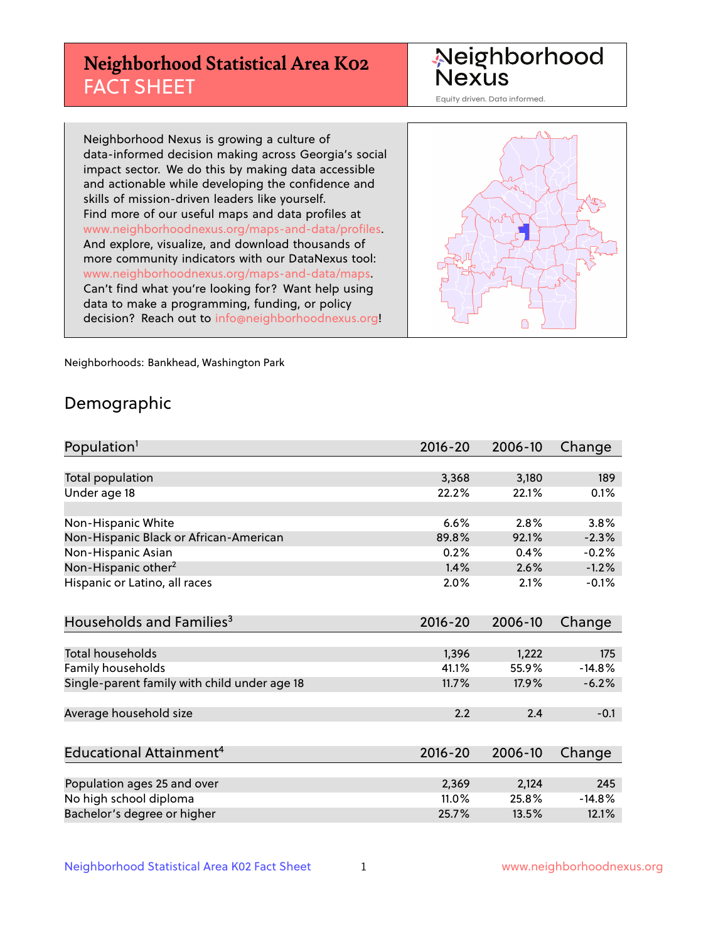# **Neighborhood Statistical Area K02** FACT SHEET

Neighborhood Nexus

Equity driven. Data informed.

Neighborhood Nexus is growing a culture of data-informed decision making across Georgia's social impact sector. We do this by making data accessible and actionable while developing the confidence and skills of mission-driven leaders like yourself. Find more of our useful maps and data profiles at www.neighborhoodnexus.org/maps-and-data/profiles. And explore, visualize, and download thousands of more community indicators with our DataNexus tool: www.neighborhoodnexus.org/maps-and-data/maps. Can't find what you're looking for? Want help using data to make a programming, funding, or policy decision? Reach out to [info@neighborhoodnexus.org!](mailto:info@neighborhoodnexus.org)



Neighborhoods: Bankhead, Washington Park

#### Demographic

| Population <sup>1</sup>                      | 2016-20 | 2006-10 | Change   |
|----------------------------------------------|---------|---------|----------|
|                                              |         |         |          |
| Total population                             | 3,368   | 3,180   | 189      |
| Under age 18                                 | 22.2%   | 22.1%   | 0.1%     |
|                                              |         |         |          |
| Non-Hispanic White                           | 6.6%    | 2.8%    | 3.8%     |
| Non-Hispanic Black or African-American       | 89.8%   | 92.1%   | $-2.3%$  |
| Non-Hispanic Asian                           | 0.2%    | 0.4%    | $-0.2%$  |
| Non-Hispanic other <sup>2</sup>              | 1.4%    | 2.6%    | $-1.2%$  |
| Hispanic or Latino, all races                | 2.0%    | 2.1%    | $-0.1%$  |
|                                              |         |         |          |
| Households and Families <sup>3</sup>         | 2016-20 | 2006-10 | Change   |
|                                              |         |         |          |
| Total households                             | 1,396   | 1,222   | 175      |
| Family households                            | 41.1%   | 55.9%   | $-14.8%$ |
| Single-parent family with child under age 18 | 11.7%   | 17.9%   | $-6.2%$  |
|                                              |         |         |          |
| Average household size                       | 2.2     | 2.4     | $-0.1$   |
|                                              |         |         |          |
| Educational Attainment <sup>4</sup>          | 2016-20 | 2006-10 | Change   |
|                                              |         |         |          |
| Population ages 25 and over                  | 2,369   | 2,124   | 245      |
| No high school diploma                       | 11.0%   | 25.8%   | $-14.8%$ |
| Bachelor's degree or higher                  | 25.7%   | 13.5%   | 12.1%    |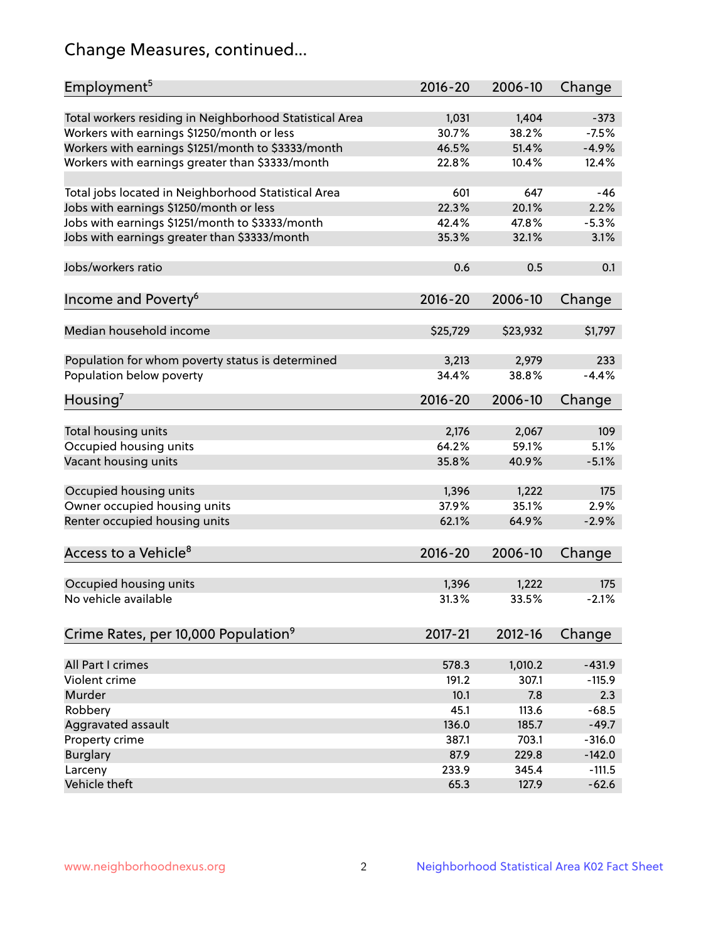# Change Measures, continued...

| Employment <sup>5</sup>                                                                          | $2016 - 20$    | 2006-10        | Change            |
|--------------------------------------------------------------------------------------------------|----------------|----------------|-------------------|
|                                                                                                  |                |                |                   |
| Total workers residing in Neighborhood Statistical Area                                          | 1,031<br>30.7% | 1,404<br>38.2% | $-373$<br>$-7.5%$ |
| Workers with earnings \$1250/month or less<br>Workers with earnings \$1251/month to \$3333/month | 46.5%          | 51.4%          | $-4.9%$           |
|                                                                                                  | 22.8%          | 10.4%          | 12.4%             |
| Workers with earnings greater than \$3333/month                                                  |                |                |                   |
| Total jobs located in Neighborhood Statistical Area                                              | 601            | 647            | -46               |
| Jobs with earnings \$1250/month or less                                                          | 22.3%          | 20.1%          | 2.2%              |
| Jobs with earnings \$1251/month to \$3333/month                                                  | 42.4%          | 47.8%          | $-5.3%$           |
| Jobs with earnings greater than \$3333/month                                                     | 35.3%          | 32.1%          | 3.1%              |
|                                                                                                  |                |                |                   |
| Jobs/workers ratio                                                                               | 0.6            | 0.5            | 0.1               |
|                                                                                                  |                |                |                   |
| Income and Poverty <sup>6</sup>                                                                  | $2016 - 20$    | 2006-10        | Change            |
|                                                                                                  |                |                |                   |
| Median household income                                                                          | \$25,729       | \$23,932       | \$1,797           |
|                                                                                                  |                |                |                   |
| Population for whom poverty status is determined                                                 | 3,213          | 2,979          | 233               |
| Population below poverty                                                                         | 34.4%          | 38.8%          | $-4.4%$           |
| Housing <sup>7</sup>                                                                             | $2016 - 20$    | 2006-10        | Change            |
|                                                                                                  |                |                |                   |
| Total housing units                                                                              | 2,176          | 2,067          | 109               |
| Occupied housing units                                                                           | 64.2%          | 59.1%          | 5.1%              |
| Vacant housing units                                                                             | 35.8%          | 40.9%          | $-5.1%$           |
|                                                                                                  |                |                |                   |
| Occupied housing units                                                                           | 1,396          | 1,222          | 175               |
| Owner occupied housing units                                                                     | 37.9%          | 35.1%          | 2.9%              |
| Renter occupied housing units                                                                    | 62.1%          | 64.9%          | $-2.9%$           |
|                                                                                                  |                |                |                   |
| Access to a Vehicle <sup>8</sup>                                                                 | $2016 - 20$    | 2006-10        | Change            |
|                                                                                                  |                |                |                   |
| Occupied housing units<br>No vehicle available                                                   | 1,396<br>31.3% | 1,222          | 175               |
|                                                                                                  |                | 33.5%          | $-2.1%$           |
|                                                                                                  | 2017-21        | 2012-16        |                   |
| Crime Rates, per 10,000 Population <sup>9</sup>                                                  |                |                | Change            |
| All Part I crimes                                                                                | 578.3          | 1,010.2        | $-431.9$          |
| Violent crime                                                                                    | 191.2          | 307.1          | $-115.9$          |
| Murder                                                                                           | 10.1           | 7.8            | 2.3               |
| Robbery                                                                                          | 45.1           | 113.6          | $-68.5$           |
| Aggravated assault                                                                               | 136.0          | 185.7          | $-49.7$           |
| Property crime                                                                                   | 387.1          | 703.1          | $-316.0$          |
| <b>Burglary</b>                                                                                  | 87.9           | 229.8          | $-142.0$          |
| Larceny                                                                                          | 233.9          | 345.4          | $-111.5$          |
| Vehicle theft                                                                                    | 65.3           | 127.9          | $-62.6$           |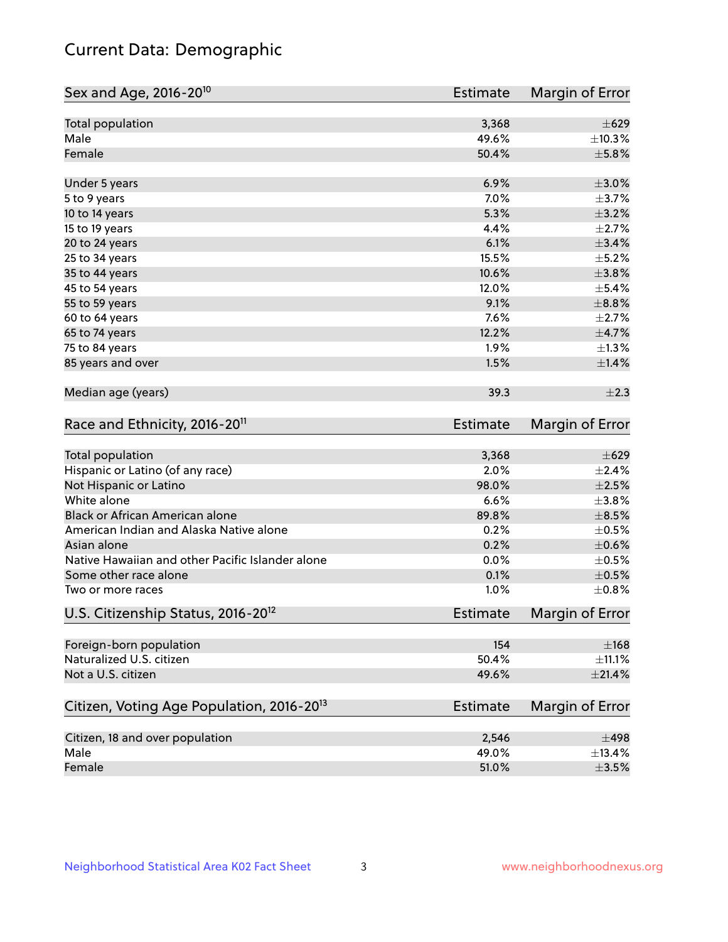# Current Data: Demographic

| Total population<br>3,368                                         | $\pm 629$        |
|-------------------------------------------------------------------|------------------|
| Male<br>49.6%                                                     | ±10.3%           |
| Female<br>50.4%                                                   | $\pm$ 5.8%       |
| 6.9%<br>Under 5 years                                             | $\pm 3.0\%$      |
| 5 to 9 years<br>7.0%                                              | $\pm$ 3.7%       |
| 5.3%<br>10 to 14 years                                            | $\pm$ 3.2%       |
| 4.4%<br>15 to 19 years                                            | $\pm 2.7\%$      |
| 6.1%<br>20 to 24 years                                            | $\pm$ 3.4%       |
| 15.5%<br>25 to 34 years                                           | $\pm$ 5.2%       |
| 35 to 44 years<br>10.6%                                           | $\pm 3.8\%$      |
| 12.0%<br>45 to 54 years                                           | $\pm$ 5.4%       |
| 9.1%<br>55 to 59 years                                            | $\pm$ 8.8%       |
| 7.6%<br>60 to 64 years                                            | $\pm 2.7\%$      |
| 12.2%<br>65 to 74 years                                           | $\pm$ 4.7%       |
| 75 to 84 years<br>1.9%                                            | $\pm 1.3\%$      |
| 85 years and over<br>1.5%                                         | ±1.4%            |
| Median age (years)<br>39.3                                        | $\pm 2.3$        |
| Race and Ethnicity, 2016-20 <sup>11</sup><br><b>Estimate</b>      | Margin of Error  |
| Total population<br>3,368                                         | $\pm 629$        |
| Hispanic or Latino (of any race)<br>2.0%                          | ±2.4%            |
| Not Hispanic or Latino<br>98.0%                                   | $\pm 2.5\%$      |
| White alone<br>6.6%                                               | ±3.8%            |
| Black or African American alone<br>89.8%                          | $\pm$ 8.5%       |
| American Indian and Alaska Native alone<br>0.2%                   | $\pm$ 0.5%       |
| Asian alone<br>0.2%                                               | $\pm$ 0.6%       |
| Native Hawaiian and other Pacific Islander alone<br>0.0%          | $\pm$ 0.5%       |
| Some other race alone<br>0.1%                                     | $\pm$ 0.5%       |
| 1.0%<br>Two or more races                                         | ±0.8%            |
| U.S. Citizenship Status, 2016-20 <sup>12</sup><br><b>Estimate</b> | Margin of Error  |
| Foreign-born population                                           | 154<br>$\pm$ 168 |
| Naturalized U.S. citizen<br>50.4%                                 | $\pm$ 11.1%      |
| Not a U.S. citizen<br>49.6%                                       | $\pm 21.4\%$     |
| Citizen, Voting Age Population, 2016-20 <sup>13</sup><br>Estimate | Margin of Error  |
| Citizen, 18 and over population<br>2,546                          | $\pm 498$        |
| Male<br>49.0%                                                     | ±13.4%           |
| Female<br>51.0%                                                   | $\pm 3.5\%$      |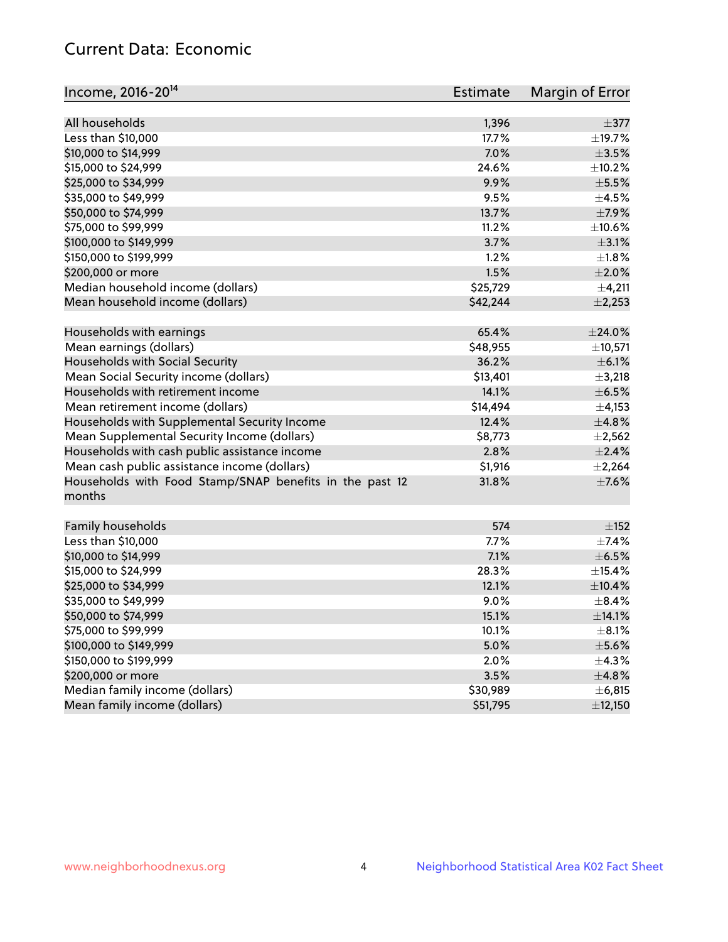### Current Data: Economic

| Income, 2016-20 <sup>14</sup>                                     | <b>Estimate</b> | Margin of Error |
|-------------------------------------------------------------------|-----------------|-----------------|
| All households                                                    | 1,396           | $\pm$ 377       |
| Less than \$10,000                                                | 17.7%           | $\pm$ 19.7%     |
| \$10,000 to \$14,999                                              | 7.0%            | $\pm$ 3.5%      |
| \$15,000 to \$24,999                                              | 24.6%           | ±10.2%          |
| \$25,000 to \$34,999                                              | 9.9%            | $\pm$ 5.5%      |
| \$35,000 to \$49,999                                              | 9.5%            | $\pm 4.5\%$     |
| \$50,000 to \$74,999                                              | 13.7%           | $\pm$ 7.9%      |
| \$75,000 to \$99,999                                              | 11.2%           | ±10.6%          |
| \$100,000 to \$149,999                                            | 3.7%            | $\pm$ 3.1%      |
| \$150,000 to \$199,999                                            | 1.2%            | $\pm 1.8\%$     |
| \$200,000 or more                                                 | 1.5%            | $\pm 2.0\%$     |
| Median household income (dollars)                                 | \$25,729        | $\pm$ 4,211     |
| Mean household income (dollars)                                   | \$42,244        | ±2,253          |
| Households with earnings                                          | 65.4%           | $\pm$ 24.0%     |
| Mean earnings (dollars)                                           | \$48,955        | ±10,571         |
| Households with Social Security                                   | 36.2%           | $\pm$ 6.1%      |
| Mean Social Security income (dollars)                             | \$13,401        | $\pm$ 3,218     |
| Households with retirement income                                 | 14.1%           | $\pm$ 6.5%      |
| Mean retirement income (dollars)                                  | \$14,494        | $\pm$ 4,153     |
| Households with Supplemental Security Income                      | 12.4%           | ±4.8%           |
| Mean Supplemental Security Income (dollars)                       | \$8,773         | $\pm 2,562$     |
| Households with cash public assistance income                     | 2.8%            | $\pm 2.4\%$     |
| Mean cash public assistance income (dollars)                      | \$1,916         | ±2,264          |
| Households with Food Stamp/SNAP benefits in the past 12<br>months | 31.8%           | $\pm$ 7.6%      |
| Family households                                                 | 574             | $\pm$ 152       |
| Less than \$10,000                                                | 7.7%            | $\pm$ 7.4%      |
| \$10,000 to \$14,999                                              | 7.1%            | $\pm$ 6.5%      |
| \$15,000 to \$24,999                                              | 28.3%           | $\pm$ 15.4%     |
| \$25,000 to \$34,999                                              | 12.1%           | ±10.4%          |
| \$35,000 to \$49,999                                              | 9.0%            | $\pm$ 8.4%      |
| \$50,000 to \$74,999                                              | 15.1%           | ±14.1%          |
| \$75,000 to \$99,999                                              | 10.1%           | $\pm$ 8.1%      |
| \$100,000 to \$149,999                                            | 5.0%            | $\pm$ 5.6%      |
| \$150,000 to \$199,999                                            | 2.0%            | $\pm$ 4.3%      |
| \$200,000 or more                                                 | 3.5%            | ±4.8%           |
| Median family income (dollars)                                    | \$30,989        | ±6,815          |
| Mean family income (dollars)                                      | \$51,795        | ±12,150         |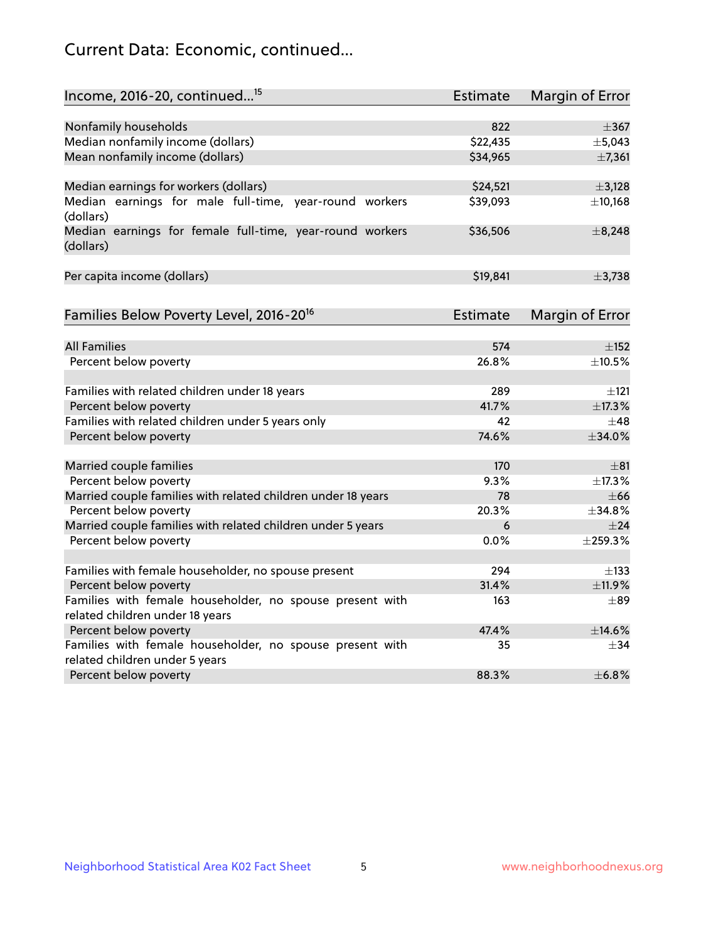# Current Data: Economic, continued...

| Income, 2016-20, continued <sup>15</sup>                              | <b>Estimate</b> | Margin of Error        |
|-----------------------------------------------------------------------|-----------------|------------------------|
|                                                                       |                 |                        |
| Nonfamily households                                                  | 822             | $\pm$ 367              |
| Median nonfamily income (dollars)                                     | \$22,435        | ±5,043                 |
| Mean nonfamily income (dollars)                                       | \$34,965        | ±7,361                 |
| Median earnings for workers (dollars)                                 | \$24,521        | ±3,128                 |
| Median earnings for male full-time, year-round workers                | \$39,093        | ±10,168                |
| (dollars)<br>Median earnings for female full-time, year-round workers | \$36,506        | ±8,248                 |
| (dollars)                                                             |                 |                        |
| Per capita income (dollars)                                           | \$19,841        | ±3,738                 |
|                                                                       |                 |                        |
| Families Below Poverty Level, 2016-20 <sup>16</sup>                   | <b>Estimate</b> | <b>Margin of Error</b> |
|                                                                       |                 |                        |
| <b>All Families</b>                                                   | 574             | $\pm$ 152              |
| Percent below poverty                                                 | 26.8%           | ±10.5%                 |
| Families with related children under 18 years                         | 289             | $\pm 121$              |
| Percent below poverty                                                 | 41.7%           | ±17.3%                 |
| Families with related children under 5 years only                     | 42              | $\pm$ 48               |
| Percent below poverty                                                 | 74.6%           | ±34.0%                 |
| Married couple families                                               | 170             | $\pm$ 81               |
| Percent below poverty                                                 | 9.3%            | ±17.3%                 |
| Married couple families with related children under 18 years          | 78              | $\pm 66$               |
| Percent below poverty                                                 | 20.3%           | ±34.8%                 |
| Married couple families with related children under 5 years           | 6               | $\pm$ 24               |
| Percent below poverty                                                 | $0.0\%$         | ±259.3%                |
| Families with female householder, no spouse present                   | 294             | $\pm$ 133              |
| Percent below poverty                                                 | 31.4%           | ±11.9%                 |
| Families with female householder, no spouse present with              | 163             | $\pm$ 89               |
| related children under 18 years                                       |                 |                        |
| Percent below poverty                                                 | 47.4%           | ±14.6%                 |
| Families with female householder, no spouse present with              | 35              | $\pm$ 34               |
| related children under 5 years                                        |                 |                        |
| Percent below poverty                                                 | 88.3%           | ±6.8%                  |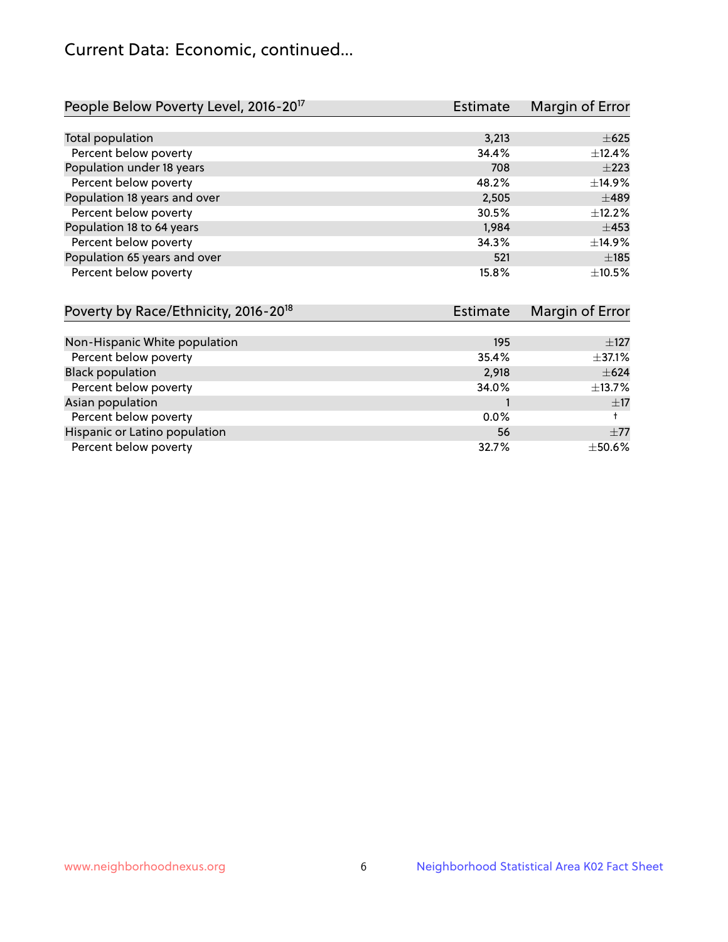# Current Data: Economic, continued...

| People Below Poverty Level, 2016-20 <sup>17</sup> | <b>Estimate</b> | Margin of Error |
|---------------------------------------------------|-----------------|-----------------|
|                                                   |                 |                 |
| Total population                                  | 3,213           | $\pm 625$       |
| Percent below poverty                             | 34.4%           | ±12.4%          |
| Population under 18 years                         | 708             | $\pm 223$       |
| Percent below poverty                             | 48.2%           | ±14.9%          |
| Population 18 years and over                      | 2,505           | $\pm 489$       |
| Percent below poverty                             | 30.5%           | $+12.2%$        |
| Population 18 to 64 years                         | 1,984           | $\pm 453$       |
| Percent below poverty                             | 34.3%           | ±14.9%          |
| Population 65 years and over                      | 521             | $\pm$ 185       |
| Percent below poverty                             | 15.8%           | ±10.5%          |

| Poverty by Race/Ethnicity, 2016-20 <sup>18</sup> | <b>Estimate</b> | Margin of Error |  |
|--------------------------------------------------|-----------------|-----------------|--|
|                                                  |                 |                 |  |
| Non-Hispanic White population                    | 195             | $\pm$ 127       |  |
| Percent below poverty                            | 35.4%           | $\pm$ 37.1%     |  |
| <b>Black population</b>                          | 2,918           | $\pm 624$       |  |
| Percent below poverty                            | 34.0%           | $\pm$ 13.7%     |  |
| Asian population                                 |                 | ±17             |  |
| Percent below poverty                            | $0.0\%$         |                 |  |
| Hispanic or Latino population                    | 56              | $\pm 77$        |  |
| Percent below poverty                            | 32.7%           | $\pm$ 50.6%     |  |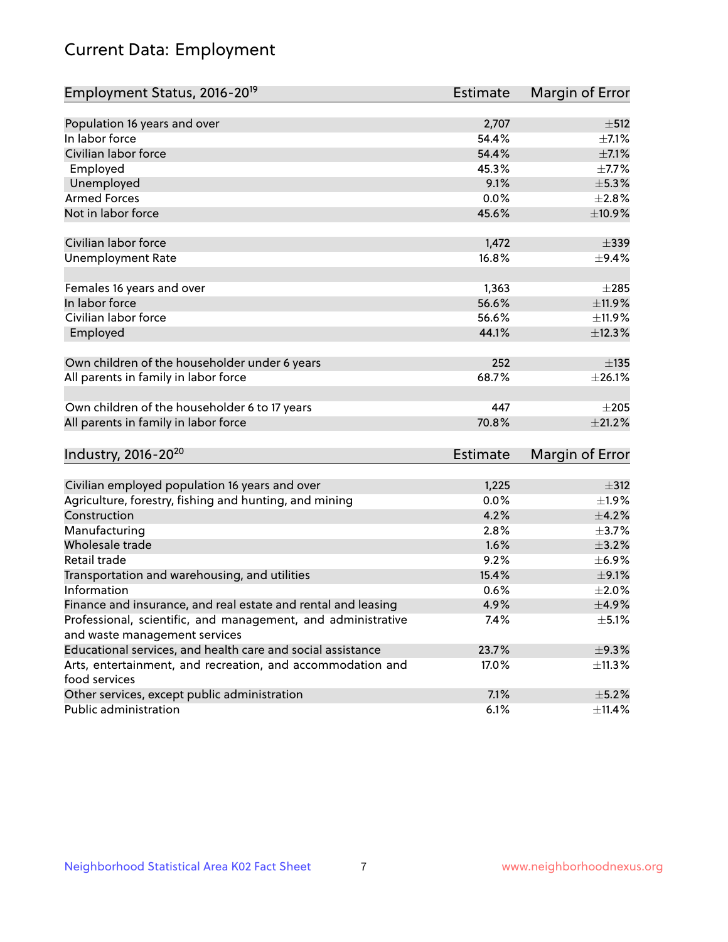# Current Data: Employment

| Employment Status, 2016-20 <sup>19</sup>                      | <b>Estimate</b> | Margin of Error |
|---------------------------------------------------------------|-----------------|-----------------|
|                                                               |                 |                 |
| Population 16 years and over                                  | 2,707           | ±512            |
| In labor force                                                | 54.4%           | $\pm$ 7.1%      |
| Civilian labor force                                          | 54.4%           | $\pm$ 7.1%      |
| Employed                                                      | 45.3%           | $\pm$ 7.7%      |
| Unemployed                                                    | 9.1%            | $\pm$ 5.3%      |
| <b>Armed Forces</b>                                           | 0.0%            | $\pm 2.8\%$     |
| Not in labor force                                            | 45.6%           | ±10.9%          |
| Civilian labor force                                          | 1,472           | $\pm$ 339       |
| <b>Unemployment Rate</b>                                      | 16.8%           | $\pm$ 9.4%      |
|                                                               |                 |                 |
| Females 16 years and over                                     | 1,363           | $\pm 285$       |
| In labor force                                                | 56.6%           | $\pm$ 11.9%     |
| Civilian labor force                                          | 56.6%           | ±11.9%          |
| Employed                                                      | 44.1%           | ±12.3%          |
|                                                               |                 |                 |
| Own children of the householder under 6 years                 | 252             | ±135            |
| All parents in family in labor force                          | 68.7%           | $\pm 26.1\%$    |
| Own children of the householder 6 to 17 years                 | 447             | $\pm 205$       |
| All parents in family in labor force                          | 70.8%           | $\pm 21.2\%$    |
|                                                               |                 |                 |
| Industry, 2016-20 <sup>20</sup>                               | Estimate        | Margin of Error |
| Civilian employed population 16 years and over                | 1,225           | $\pm$ 312       |
| Agriculture, forestry, fishing and hunting, and mining        | 0.0%            | $\pm 1.9\%$     |
| Construction                                                  | 4.2%            | $\pm$ 4.2%      |
| Manufacturing                                                 | 2.8%            | $\pm$ 3.7%      |
| Wholesale trade                                               | 1.6%            | $\pm$ 3.2%      |
| Retail trade                                                  | 9.2%            | $\pm$ 6.9%      |
| Transportation and warehousing, and utilities                 | 15.4%           | $\pm$ 9.1%      |
| Information                                                   | 0.6%            | ±2.0%           |
| Finance and insurance, and real estate and rental and leasing | 4.9%            | $\pm$ 4.9%      |
| Professional, scientific, and management, and administrative  | 7.4%            | $\pm$ 5.1%      |
| and waste management services                                 |                 |                 |
| Educational services, and health care and social assistance   | 23.7%           | ±9.3%           |
| Arts, entertainment, and recreation, and accommodation and    | 17.0%           | ±11.3%          |
| food services                                                 |                 |                 |
| Other services, except public administration                  | 7.1%            | $\pm$ 5.2%      |
| Public administration                                         | 6.1%            | ±11.4%          |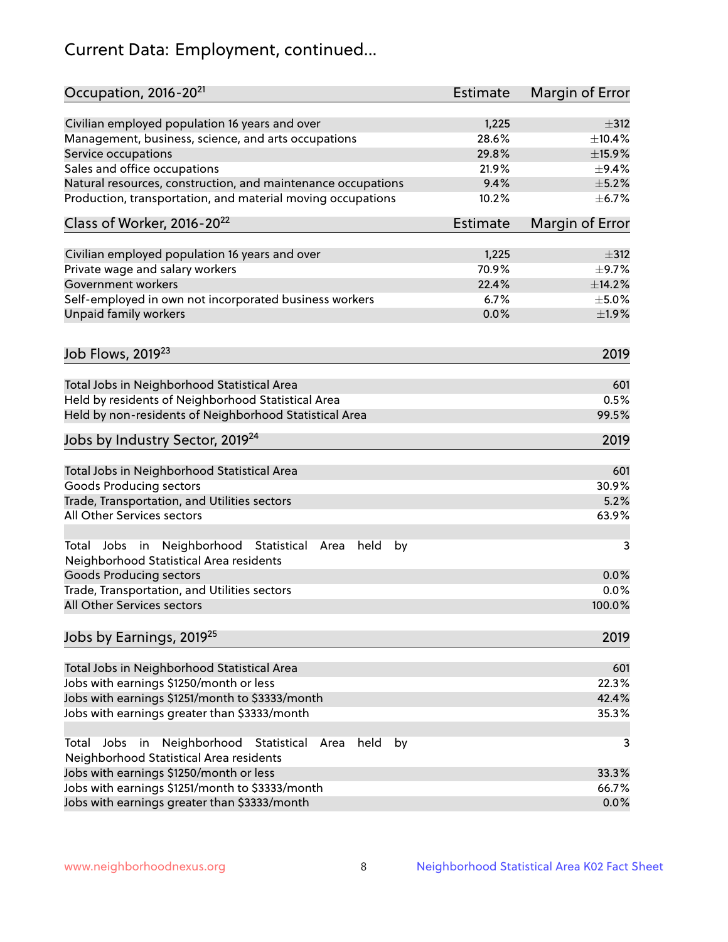# Current Data: Employment, continued...

| Occupation, 2016-20 <sup>21</sup>                                                                       | <b>Estimate</b> | Margin of Error |
|---------------------------------------------------------------------------------------------------------|-----------------|-----------------|
| Civilian employed population 16 years and over                                                          | 1,225           | $\pm$ 312       |
| Management, business, science, and arts occupations                                                     | 28.6%           | ±10.4%          |
| Service occupations                                                                                     | 29.8%           | ±15.9%          |
| Sales and office occupations                                                                            | 21.9%           | $\pm$ 9.4%      |
| Natural resources, construction, and maintenance occupations                                            | 9.4%            | $\pm$ 5.2%      |
| Production, transportation, and material moving occupations                                             | 10.2%           | $\pm$ 6.7%      |
| Class of Worker, 2016-20 <sup>22</sup>                                                                  | Estimate        | Margin of Error |
| Civilian employed population 16 years and over                                                          | 1,225           | $\pm$ 312       |
| Private wage and salary workers                                                                         | 70.9%           | $\pm$ 9.7%      |
| Government workers                                                                                      | 22.4%           | ±14.2%          |
| Self-employed in own not incorporated business workers                                                  | 6.7%            | $\pm$ 5.0%      |
| Unpaid family workers                                                                                   | 0.0%            | ±1.9%           |
| Job Flows, 2019 <sup>23</sup>                                                                           |                 | 2019            |
|                                                                                                         |                 |                 |
| Total Jobs in Neighborhood Statistical Area                                                             |                 | 601             |
| Held by residents of Neighborhood Statistical Area                                                      |                 | 0.5%            |
| Held by non-residents of Neighborhood Statistical Area                                                  |                 | 99.5%           |
| Jobs by Industry Sector, 2019 <sup>24</sup>                                                             |                 | 2019            |
| Total Jobs in Neighborhood Statistical Area                                                             |                 | 601             |
| <b>Goods Producing sectors</b>                                                                          |                 | 30.9%           |
| Trade, Transportation, and Utilities sectors                                                            |                 | 5.2%            |
| All Other Services sectors                                                                              |                 | 63.9%           |
| Total Jobs in Neighborhood Statistical<br>held<br>by<br>Area<br>Neighborhood Statistical Area residents |                 | 3               |
| <b>Goods Producing sectors</b>                                                                          |                 | 0.0%            |
| Trade, Transportation, and Utilities sectors                                                            |                 | 0.0%            |
| All Other Services sectors                                                                              |                 | 100.0%          |
| Jobs by Earnings, 2019 <sup>25</sup>                                                                    |                 | 2019            |
| Total Jobs in Neighborhood Statistical Area                                                             |                 | 601             |
| Jobs with earnings \$1250/month or less                                                                 |                 | 22.3%           |
| Jobs with earnings \$1251/month to \$3333/month                                                         |                 | 42.4%           |
| Jobs with earnings greater than \$3333/month                                                            |                 | 35.3%           |
| Neighborhood Statistical<br>Jobs<br>in<br>held<br>by<br>Total<br>Area                                   |                 | 3               |
| Neighborhood Statistical Area residents                                                                 |                 |                 |
| Jobs with earnings \$1250/month or less                                                                 |                 | 33.3%           |
| Jobs with earnings \$1251/month to \$3333/month                                                         |                 | 66.7%           |
| Jobs with earnings greater than \$3333/month                                                            |                 | 0.0%            |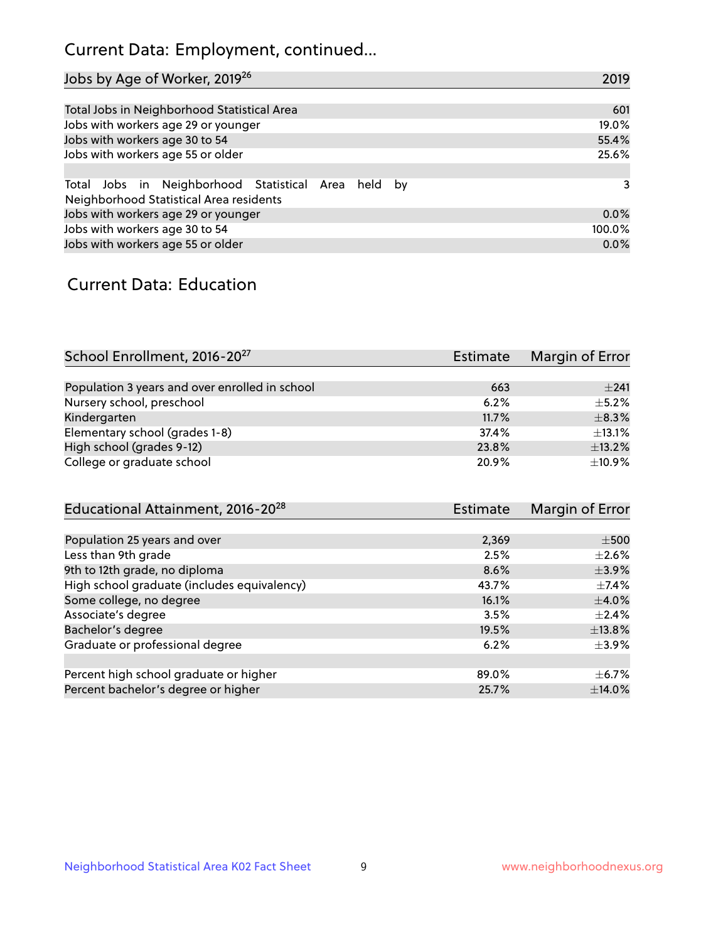# Current Data: Employment, continued...

| Jobs by Age of Worker, 2019 <sup>26</sup>                                                      | 2019   |
|------------------------------------------------------------------------------------------------|--------|
|                                                                                                |        |
| Total Jobs in Neighborhood Statistical Area                                                    | 601    |
| Jobs with workers age 29 or younger                                                            | 19.0%  |
| Jobs with workers age 30 to 54                                                                 | 55.4%  |
| Jobs with workers age 55 or older                                                              | 25.6%  |
|                                                                                                |        |
| Total Jobs in Neighborhood Statistical Area held by<br>Neighborhood Statistical Area residents | 3      |
| Jobs with workers age 29 or younger                                                            | 0.0%   |
| Jobs with workers age 30 to 54                                                                 | 100.0% |
| Jobs with workers age 55 or older                                                              | 0.0%   |

### Current Data: Education

| School Enrollment, 2016-20 <sup>27</sup>       | <b>Estimate</b> | Margin of Error |
|------------------------------------------------|-----------------|-----------------|
|                                                |                 |                 |
| Population 3 years and over enrolled in school | 663             | $+241$          |
| Nursery school, preschool                      | 6.2%            | $+5.2%$         |
| Kindergarten                                   | 11.7%           | $\pm$ 8.3%      |
| Elementary school (grades 1-8)                 | 37.4%           | ±13.1%          |
| High school (grades 9-12)                      | 23.8%           | ±13.2%          |
| College or graduate school                     | 20.9%           | ±10.9%          |

| Educational Attainment, 2016-20 <sup>28</sup> | <b>Estimate</b> | Margin of Error |
|-----------------------------------------------|-----------------|-----------------|
|                                               |                 |                 |
| Population 25 years and over                  | 2,369           | $\pm$ 500       |
| Less than 9th grade                           | 2.5%            | $\pm 2.6\%$     |
| 9th to 12th grade, no diploma                 | 8.6%            | $\pm$ 3.9%      |
| High school graduate (includes equivalency)   | 43.7%           | $\pm$ 7.4%      |
| Some college, no degree                       | 16.1%           | $\pm$ 4.0%      |
| Associate's degree                            | 3.5%            | $\pm 2.4\%$     |
| Bachelor's degree                             | 19.5%           | ±13.8%          |
| Graduate or professional degree               | 6.2%            | $\pm$ 3.9%      |
|                                               |                 |                 |
| Percent high school graduate or higher        | 89.0%           | $\pm$ 6.7%      |
| Percent bachelor's degree or higher           | 25.7%           | $\pm$ 14.0%     |
|                                               |                 |                 |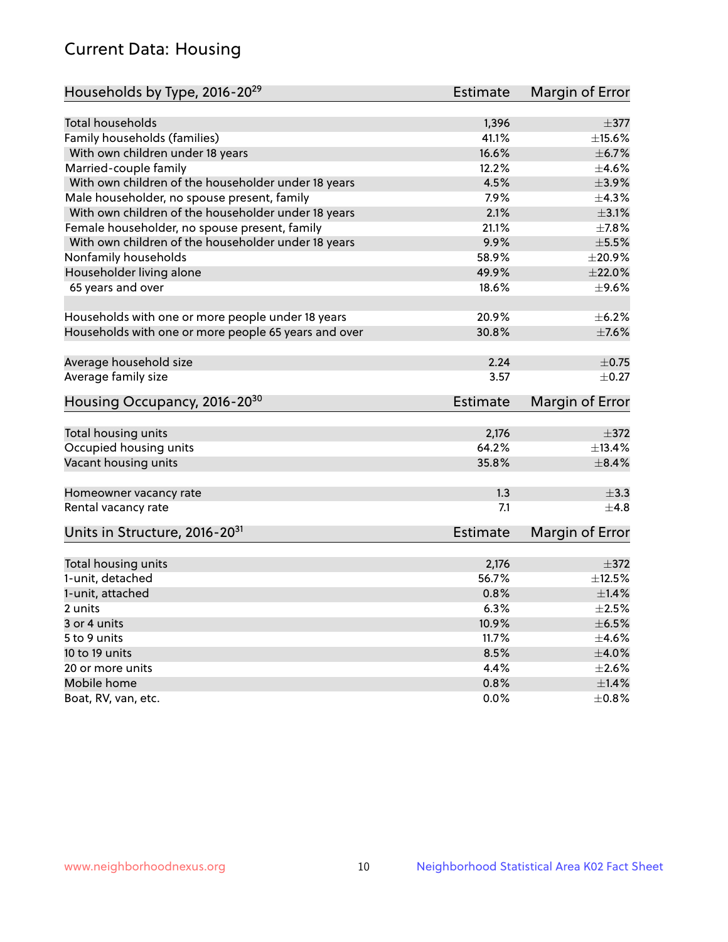# Current Data: Housing

| Households by Type, 2016-20 <sup>29</sup>            | <b>Estimate</b> | Margin of Error |
|------------------------------------------------------|-----------------|-----------------|
|                                                      |                 |                 |
| <b>Total households</b>                              | 1,396           | $\pm$ 377       |
| Family households (families)                         | 41.1%           | $\pm$ 15.6%     |
| With own children under 18 years                     | 16.6%           | $\pm$ 6.7%      |
| Married-couple family                                | 12.2%           | $\pm$ 4.6%      |
| With own children of the householder under 18 years  | 4.5%            | $\pm$ 3.9%      |
| Male householder, no spouse present, family          | 7.9%            | ±4.3%           |
| With own children of the householder under 18 years  | 2.1%            | $\pm$ 3.1%      |
| Female householder, no spouse present, family        | 21.1%           | $\pm$ 7.8%      |
| With own children of the householder under 18 years  | 9.9%            | $\pm$ 5.5%      |
| Nonfamily households                                 | 58.9%           | $\pm 20.9\%$    |
| Householder living alone                             | 49.9%           | $\pm 22.0\%$    |
| 65 years and over                                    | 18.6%           | $\pm$ 9.6%      |
|                                                      |                 |                 |
| Households with one or more people under 18 years    | 20.9%           | $\pm$ 6.2%      |
| Households with one or more people 65 years and over | 30.8%           | $\pm$ 7.6%      |
| Average household size                               | 2.24            | $\pm$ 0.75      |
| Average family size                                  | 3.57            | $\pm$ 0.27      |
|                                                      |                 |                 |
| Housing Occupancy, 2016-20 <sup>30</sup>             | <b>Estimate</b> | Margin of Error |
| Total housing units                                  | 2,176           | $\pm$ 372       |
| Occupied housing units                               | 64.2%           | ±13.4%          |
| Vacant housing units                                 | 35.8%           | $\pm$ 8.4%      |
|                                                      |                 |                 |
| Homeowner vacancy rate                               | 1.3             | $\pm$ 3.3       |
| Rental vacancy rate                                  | 7.1             | $\pm$ 4.8       |
| Units in Structure, 2016-20 <sup>31</sup>            | <b>Estimate</b> | Margin of Error |
|                                                      |                 | $\pm$ 372       |
| Total housing units                                  | 2,176           |                 |
| 1-unit, detached                                     | 56.7%           | $\pm$ 12.5%     |
| 1-unit, attached                                     | 0.8%            | $\pm 1.4\%$     |
| 2 units                                              | 6.3%            | $\pm 2.5\%$     |
| 3 or 4 units                                         | 10.9%           | $\pm$ 6.5%      |
| 5 to 9 units                                         | 11.7%           | $\pm 4.6\%$     |
| 10 to 19 units                                       | 8.5%            | $\pm 4.0\%$     |
| 20 or more units                                     | 4.4%            | $\pm 2.6\%$     |
| Mobile home                                          | 0.8%            | ±1.4%           |
| Boat, RV, van, etc.                                  | $0.0\%$         | $\pm 0.8\%$     |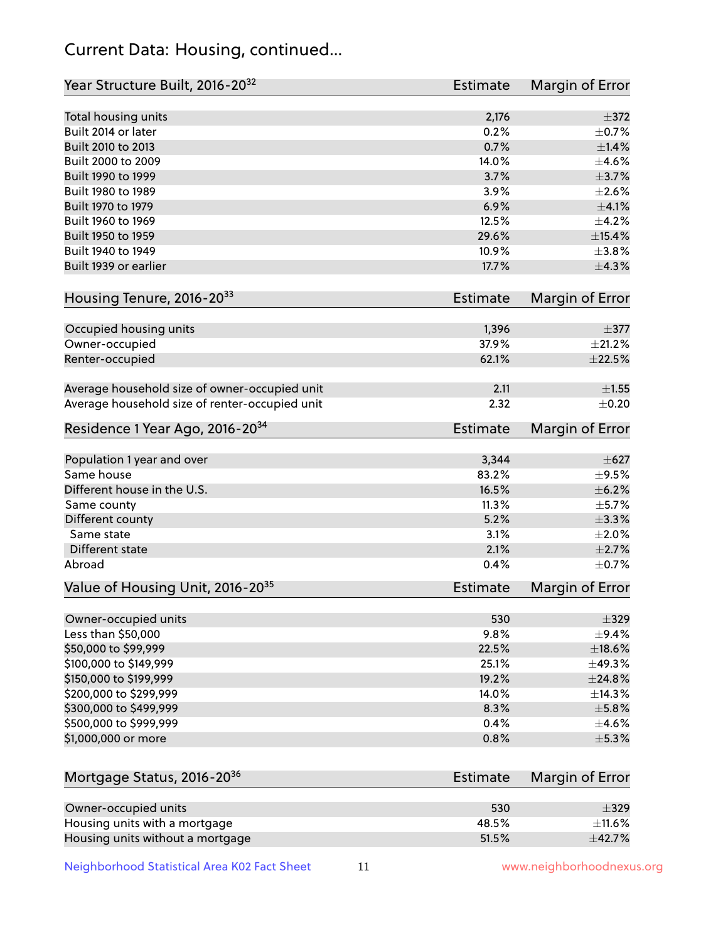# Current Data: Housing, continued...

| Year Structure Built, 2016-20 <sup>32</sup>    | Estimate        | <b>Margin of Error</b> |
|------------------------------------------------|-----------------|------------------------|
| Total housing units                            | 2,176           | $\pm$ 372              |
| Built 2014 or later                            | 0.2%            | $\pm$ 0.7%             |
| Built 2010 to 2013                             | 0.7%            | $\pm$ 1.4%             |
| Built 2000 to 2009                             | 14.0%           | $\pm$ 4.6%             |
| Built 1990 to 1999                             | 3.7%            | $\pm$ 3.7%             |
| Built 1980 to 1989                             | 3.9%            | $\pm 2.6\%$            |
| Built 1970 to 1979                             | 6.9%            | $\pm$ 4.1%             |
| Built 1960 to 1969                             | 12.5%           | $\pm$ 4.2%             |
| Built 1950 to 1959                             | 29.6%           | ±15.4%                 |
| Built 1940 to 1949                             | 10.9%           | $\pm$ 3.8%             |
| Built 1939 or earlier                          | 17.7%           | ±4.3%                  |
| Housing Tenure, 2016-2033                      | Estimate        | Margin of Error        |
| Occupied housing units                         | 1,396           | $\pm$ 377              |
| Owner-occupied                                 | 37.9%           | ±21.2%                 |
| Renter-occupied                                | 62.1%           | $\pm 22.5\%$           |
| Average household size of owner-occupied unit  | 2.11            | $\pm 1.55$             |
| Average household size of renter-occupied unit | 2.32            | $\pm$ 0.20             |
| Residence 1 Year Ago, 2016-20 <sup>34</sup>    | <b>Estimate</b> | <b>Margin of Error</b> |
| Population 1 year and over                     | 3,344           | $\pm 627$              |
| Same house                                     | 83.2%           | $\pm$ 9.5%             |
| Different house in the U.S.                    | 16.5%           | $\pm$ 6.2%             |
| Same county                                    | 11.3%           | $\pm$ 5.7%             |
| Different county                               | 5.2%            | ±3.3%                  |
| Same state                                     | 3.1%            | $\pm 2.0\%$            |
| Different state                                | 2.1%            | $\pm 2.7\%$            |
| Abroad                                         | 0.4%            | $\pm$ 0.7%             |
| Value of Housing Unit, 2016-20 <sup>35</sup>   | <b>Estimate</b> | Margin of Error        |
| Owner-occupied units                           | 530             | $\pm$ 329              |
| Less than \$50,000                             | 9.8%            | $\pm$ 9.4%             |
| \$50,000 to \$99,999                           | 22.5%           | ±18.6%                 |
| \$100,000 to \$149,999                         | 25.1%           | ±49.3%                 |
| \$150,000 to \$199,999                         | 19.2%           | ±24.8%                 |
| \$200,000 to \$299,999                         | 14.0%           | ±14.3%                 |
| \$300,000 to \$499,999                         | 8.3%            | $\pm$ 5.8%             |
| \$500,000 to \$999,999                         | 0.4%            | $\pm$ 4.6%             |
| \$1,000,000 or more                            | 0.8%            | $\pm$ 5.3%             |
| Mortgage Status, 2016-20 <sup>36</sup>         | Estimate        | Margin of Error        |
| Owner-occupied units                           | 530             | $\pm$ 329              |
| Housing units with a mortgage                  | 48.5%           | ±11.6%                 |

Neighborhood Statistical Area K02 Fact Sheet 11 11 www.neighborhoodnexus.org

Housing units without a mortgage  $\pm 42.7\%$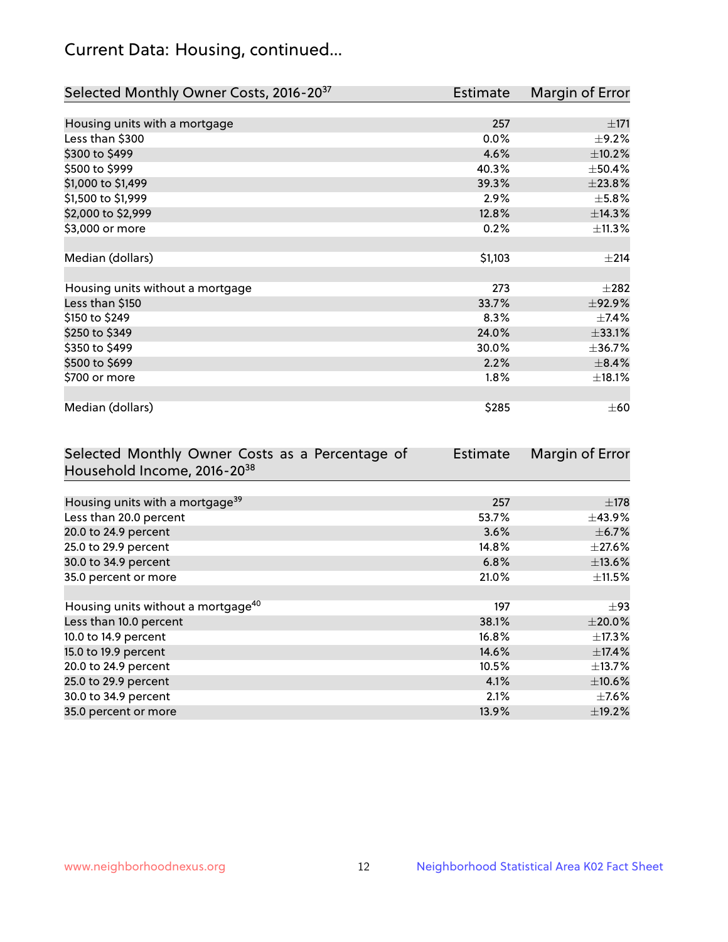# Current Data: Housing, continued...

| Selected Monthly Owner Costs, 2016-20 <sup>37</sup> | <b>Estimate</b> | Margin of Error |
|-----------------------------------------------------|-----------------|-----------------|
|                                                     |                 |                 |
| Housing units with a mortgage                       | 257             | $\pm 171$       |
| Less than \$300                                     | 0.0%            | $\pm$ 9.2%      |
| \$300 to \$499                                      | 4.6%            | $\pm$ 10.2%     |
| \$500 to \$999                                      | 40.3%           | ±50.4%          |
| \$1,000 to \$1,499                                  | 39.3%           | ±23.8%          |
| \$1,500 to \$1,999                                  | 2.9%            | $\pm$ 5.8%      |
| \$2,000 to \$2,999                                  | 12.8%           | ±14.3%          |
| \$3,000 or more                                     | 0.2%            | ±11.3%          |
|                                                     |                 |                 |
| Median (dollars)                                    | \$1,103         | ±214            |
|                                                     |                 |                 |
| Housing units without a mortgage                    | 273             | $\pm 282$       |
| Less than \$150                                     | 33.7%           | ±92.9%          |
| \$150 to \$249                                      | 8.3%            | ±7.4%           |
| \$250 to \$349                                      | 24.0%           | ±33.1%          |
| \$350 to \$499                                      | 30.0%           | ±36.7%          |
| \$500 to \$699                                      | 2.2%            | $\pm$ 8.4%      |
| \$700 or more                                       | 1.8%            | ±18.1%          |
|                                                     |                 |                 |
| Median (dollars)                                    | \$285           | $\pm 60$        |

| Selected Monthly Owner Costs as a Percentage of | Estimate | Margin of Error |
|-------------------------------------------------|----------|-----------------|
| Household Income, 2016-20 <sup>38</sup>         |          |                 |
|                                                 |          |                 |
| Housing units with a mortgage <sup>39</sup>     | 257      | $\pm$ 178       |
| Less than 20.0 percent                          | 53.7%    | $\pm$ 43.9%     |
| 20.0 to 24.9 percent                            | 3.6%     | $\pm$ 6.7%      |
| 25.0 to 29.9 percent                            | 14.8%    | $\pm 27.6\%$    |
| 30.0 to 34.9 percent                            | 6.8%     | ±13.6%          |
| 35.0 percent or more                            | 21.0%    | $\pm$ 11.5%     |
|                                                 |          |                 |
| Housing units without a mortgage <sup>40</sup>  | 197      | $\pm$ 93        |
| Less than 10.0 percent                          | 38.1%    | $\pm 20.0\%$    |
| 10.0 to 14.9 percent                            | 16.8%    | $\pm$ 17.3%     |
| 15.0 to 19.9 percent                            | 14.6%    | ±17.4%          |
| 20.0 to 24.9 percent                            | 10.5%    | $\pm$ 13.7%     |
| 25.0 to 29.9 percent                            | 4.1%     | ±10.6%          |
| 30.0 to 34.9 percent                            | 2.1%     | $\pm$ 7.6%      |
| 35.0 percent or more                            | 13.9%    | $\pm$ 19.2%     |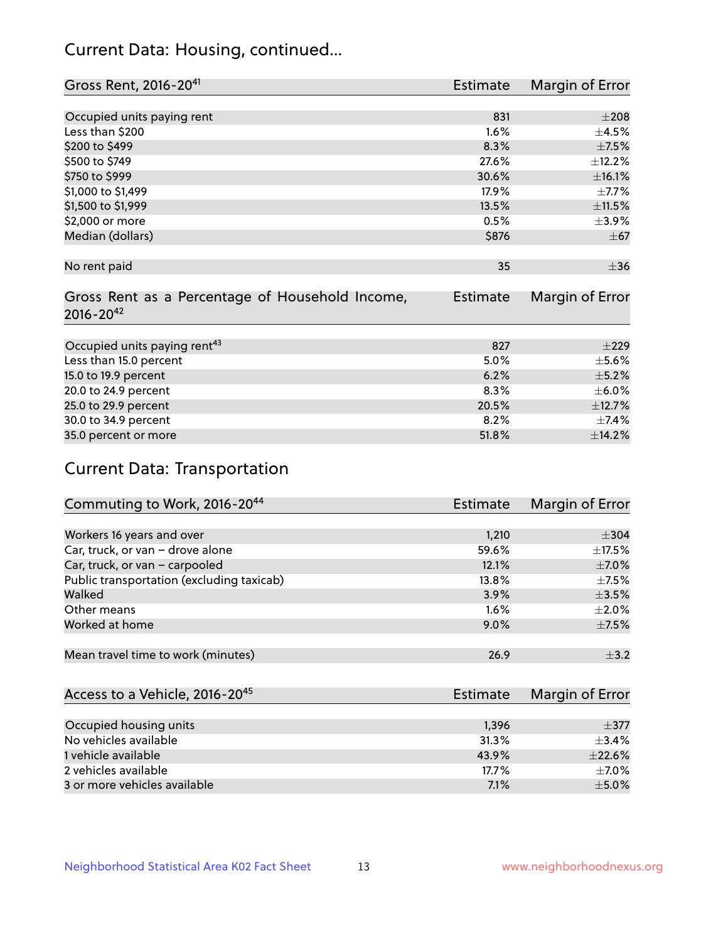# Current Data: Housing, continued...

| Gross Rent, 2016-20 <sup>41</sup>               | <b>Estimate</b> | Margin of Error |
|-------------------------------------------------|-----------------|-----------------|
|                                                 |                 |                 |
| Occupied units paying rent                      | 831             | $\pm 208$       |
| Less than \$200                                 | 1.6%            | $\pm$ 4.5%      |
| \$200 to \$499                                  | 8.3%            | $\pm$ 7.5%      |
| \$500 to \$749                                  | 27.6%           | ±12.2%          |
| \$750 to \$999                                  | 30.6%           | ±16.1%          |
| \$1,000 to \$1,499                              | 17.9%           | $\pm$ 7.7%      |
| \$1,500 to \$1,999                              | 13.5%           | ±11.5%          |
| \$2,000 or more                                 | 0.5%            | $\pm$ 3.9%      |
| Median (dollars)                                | \$876           | $\pm$ 67        |
|                                                 |                 |                 |
| No rent paid                                    | 35              | $\pm$ 36        |
|                                                 |                 |                 |
| Gross Rent as a Percentage of Household Income, | <b>Estimate</b> | Margin of Error |
| $2016 - 20^{42}$                                |                 |                 |
|                                                 |                 |                 |
| Occupied units paying rent <sup>43</sup>        | 827             | $\pm 229$       |
| Less than 15.0 percent                          | 5.0%            | $\pm$ 5.6%      |
| 15.0 to 19.9 percent                            | 6.2%            | $\pm$ 5.2%      |
| 20.0 to 24.9 percent                            | 8.3%            | $\pm$ 6.0%      |
| 25.0 to 29.9 percent                            | 20.5%           | ±12.7%          |
| 30.0 to 34.9 percent                            | 8.2%            | ±7.4%           |
| 35.0 percent or more                            | 51.8%           | ±14.2%          |

# Current Data: Transportation

| Commuting to Work, 2016-20 <sup>44</sup>  | Estimate | Margin of Error |
|-------------------------------------------|----------|-----------------|
|                                           |          |                 |
| Workers 16 years and over                 | 1,210    | $\pm$ 304       |
| Car, truck, or van - drove alone          | 59.6%    | $\pm$ 17.5%     |
| Car, truck, or van - carpooled            | 12.1%    | $\pm$ 7.0%      |
| Public transportation (excluding taxicab) | $13.8\%$ | $\pm$ 7.5%      |
| Walked                                    | 3.9%     | $\pm$ 3.5%      |
| Other means                               | 1.6%     | $\pm 2.0\%$     |
| Worked at home                            | 9.0%     | $\pm$ 7.5%      |
|                                           |          |                 |
| Mean travel time to work (minutes)        | 26.9     | $\pm$ 3.2       |

| Access to a Vehicle, 2016-20 <sup>45</sup> | Estimate | Margin of Error |
|--------------------------------------------|----------|-----------------|
|                                            |          |                 |
| Occupied housing units                     | 1,396    | $+377$          |
| No vehicles available                      | 31.3%    | $+3.4%$         |
| 1 vehicle available                        | 43.9%    | $\pm$ 22.6%     |
| 2 vehicles available                       | 17.7%    | $+7.0%$         |
| 3 or more vehicles available               | 7.1%     | $+5.0%$         |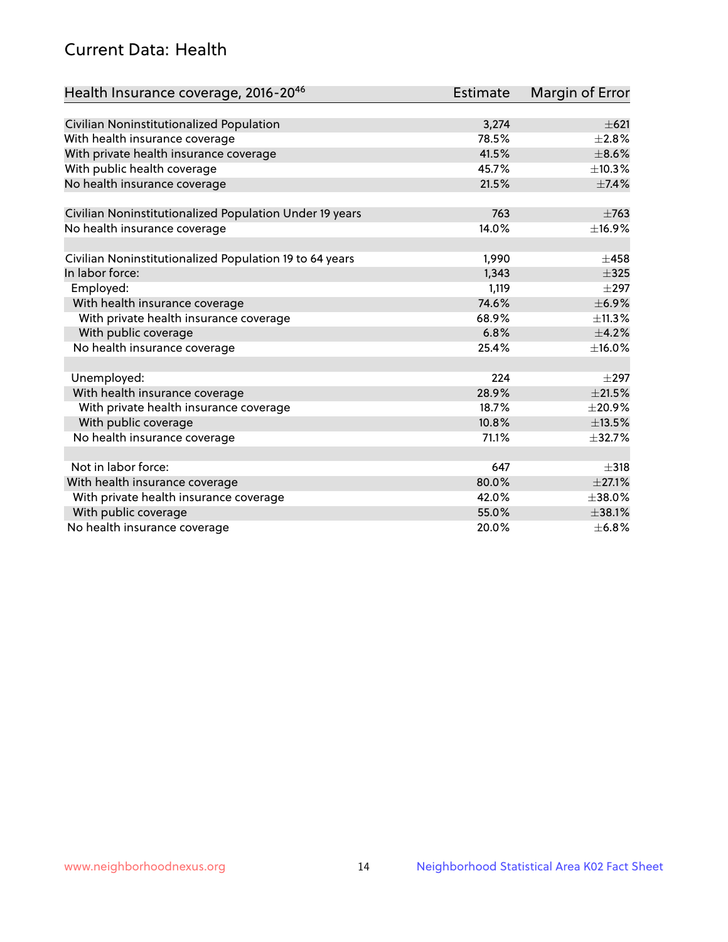# Current Data: Health

| Health Insurance coverage, 2016-2046                    | <b>Estimate</b> | <b>Margin of Error</b> |
|---------------------------------------------------------|-----------------|------------------------|
|                                                         |                 |                        |
| Civilian Noninstitutionalized Population                | 3,274           | $\pm 621$              |
| With health insurance coverage                          | 78.5%           | $\pm 2.8\%$            |
| With private health insurance coverage                  | 41.5%           | $\pm$ 8.6%             |
| With public health coverage                             | 45.7%           | ±10.3%                 |
| No health insurance coverage                            | 21.5%           | ±7.4%                  |
| Civilian Noninstitutionalized Population Under 19 years | 763             | $\pm 763$              |
| No health insurance coverage                            | 14.0%           | ±16.9%                 |
|                                                         |                 |                        |
| Civilian Noninstitutionalized Population 19 to 64 years | 1,990           | $\pm 458$              |
| In labor force:                                         | 1,343           | $\pm$ 325              |
| Employed:                                               | 1,119           | $\pm 297$              |
| With health insurance coverage                          | 74.6%           | $\pm$ 6.9%             |
| With private health insurance coverage                  | 68.9%           | ±11.3%                 |
| With public coverage                                    | 6.8%            | $\pm$ 4.2%             |
| No health insurance coverage                            | 25.4%           | ±16.0%                 |
|                                                         |                 |                        |
| Unemployed:                                             | 224             | $\pm 297$              |
| With health insurance coverage                          | 28.9%           | $\pm 21.5\%$           |
| With private health insurance coverage                  | 18.7%           | $\pm$ 20.9%            |
| With public coverage                                    | 10.8%           | ±13.5%                 |
| No health insurance coverage                            | 71.1%           | ±32.7%                 |
|                                                         |                 |                        |
| Not in labor force:                                     | 647             | $\pm$ 318              |
| With health insurance coverage                          | 80.0%           | $\pm 27.1\%$           |
| With private health insurance coverage                  | 42.0%           | $\pm$ 38.0%            |
| With public coverage                                    | 55.0%           | ±38.1%                 |
| No health insurance coverage                            | 20.0%           | ±6.8%                  |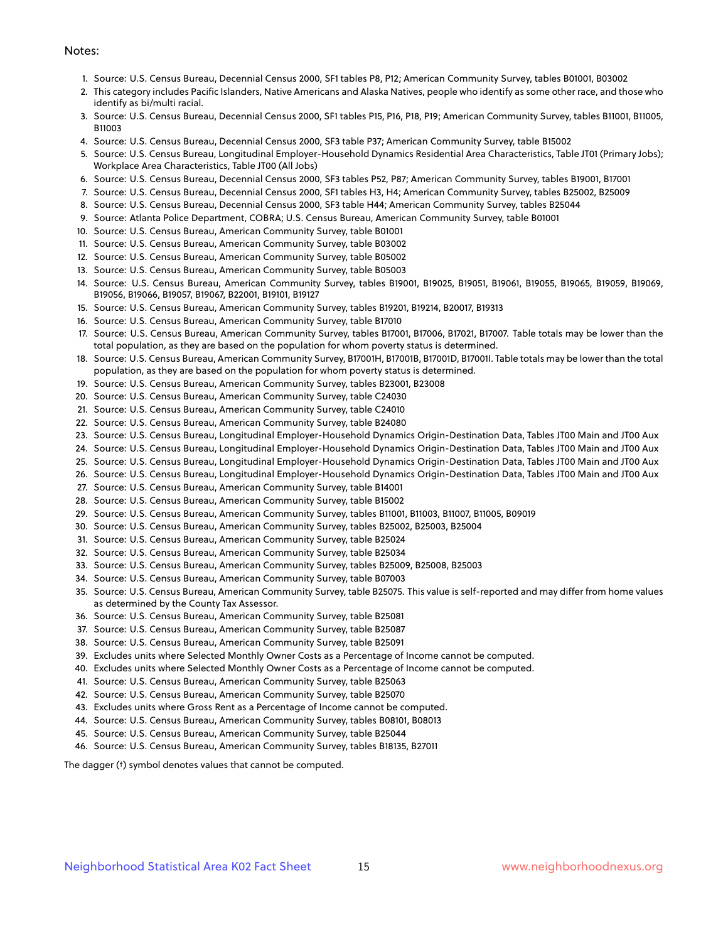#### Notes:

- 1. Source: U.S. Census Bureau, Decennial Census 2000, SF1 tables P8, P12; American Community Survey, tables B01001, B03002
- 2. This category includes Pacific Islanders, Native Americans and Alaska Natives, people who identify as some other race, and those who identify as bi/multi racial.
- 3. Source: U.S. Census Bureau, Decennial Census 2000, SF1 tables P15, P16, P18, P19; American Community Survey, tables B11001, B11005, B11003
- 4. Source: U.S. Census Bureau, Decennial Census 2000, SF3 table P37; American Community Survey, table B15002
- 5. Source: U.S. Census Bureau, Longitudinal Employer-Household Dynamics Residential Area Characteristics, Table JT01 (Primary Jobs); Workplace Area Characteristics, Table JT00 (All Jobs)
- 6. Source: U.S. Census Bureau, Decennial Census 2000, SF3 tables P52, P87; American Community Survey, tables B19001, B17001
- 7. Source: U.S. Census Bureau, Decennial Census 2000, SF1 tables H3, H4; American Community Survey, tables B25002, B25009
- 8. Source: U.S. Census Bureau, Decennial Census 2000, SF3 table H44; American Community Survey, tables B25044
- 9. Source: Atlanta Police Department, COBRA; U.S. Census Bureau, American Community Survey, table B01001
- 10. Source: U.S. Census Bureau, American Community Survey, table B01001
- 11. Source: U.S. Census Bureau, American Community Survey, table B03002
- 12. Source: U.S. Census Bureau, American Community Survey, table B05002
- 13. Source: U.S. Census Bureau, American Community Survey, table B05003
- 14. Source: U.S. Census Bureau, American Community Survey, tables B19001, B19025, B19051, B19061, B19055, B19065, B19059, B19069, B19056, B19066, B19057, B19067, B22001, B19101, B19127
- 15. Source: U.S. Census Bureau, American Community Survey, tables B19201, B19214, B20017, B19313
- 16. Source: U.S. Census Bureau, American Community Survey, table B17010
- 17. Source: U.S. Census Bureau, American Community Survey, tables B17001, B17006, B17021, B17007. Table totals may be lower than the total population, as they are based on the population for whom poverty status is determined.
- 18. Source: U.S. Census Bureau, American Community Survey, B17001H, B17001B, B17001D, B17001I. Table totals may be lower than the total population, as they are based on the population for whom poverty status is determined.
- 19. Source: U.S. Census Bureau, American Community Survey, tables B23001, B23008
- 20. Source: U.S. Census Bureau, American Community Survey, table C24030
- 21. Source: U.S. Census Bureau, American Community Survey, table C24010
- 22. Source: U.S. Census Bureau, American Community Survey, table B24080
- 23. Source: U.S. Census Bureau, Longitudinal Employer-Household Dynamics Origin-Destination Data, Tables JT00 Main and JT00 Aux
- 24. Source: U.S. Census Bureau, Longitudinal Employer-Household Dynamics Origin-Destination Data, Tables JT00 Main and JT00 Aux
- 25. Source: U.S. Census Bureau, Longitudinal Employer-Household Dynamics Origin-Destination Data, Tables JT00 Main and JT00 Aux
- 26. Source: U.S. Census Bureau, Longitudinal Employer-Household Dynamics Origin-Destination Data, Tables JT00 Main and JT00 Aux
- 27. Source: U.S. Census Bureau, American Community Survey, table B14001
- 28. Source: U.S. Census Bureau, American Community Survey, table B15002
- 29. Source: U.S. Census Bureau, American Community Survey, tables B11001, B11003, B11007, B11005, B09019
- 30. Source: U.S. Census Bureau, American Community Survey, tables B25002, B25003, B25004
- 31. Source: U.S. Census Bureau, American Community Survey, table B25024
- 32. Source: U.S. Census Bureau, American Community Survey, table B25034
- 33. Source: U.S. Census Bureau, American Community Survey, tables B25009, B25008, B25003
- 34. Source: U.S. Census Bureau, American Community Survey, table B07003
- 35. Source: U.S. Census Bureau, American Community Survey, table B25075. This value is self-reported and may differ from home values as determined by the County Tax Assessor.
- 36. Source: U.S. Census Bureau, American Community Survey, table B25081
- 37. Source: U.S. Census Bureau, American Community Survey, table B25087
- 38. Source: U.S. Census Bureau, American Community Survey, table B25091
- 39. Excludes units where Selected Monthly Owner Costs as a Percentage of Income cannot be computed.
- 40. Excludes units where Selected Monthly Owner Costs as a Percentage of Income cannot be computed.
- 41. Source: U.S. Census Bureau, American Community Survey, table B25063
- 42. Source: U.S. Census Bureau, American Community Survey, table B25070
- 43. Excludes units where Gross Rent as a Percentage of Income cannot be computed.
- 44. Source: U.S. Census Bureau, American Community Survey, tables B08101, B08013
- 45. Source: U.S. Census Bureau, American Community Survey, table B25044
- 46. Source: U.S. Census Bureau, American Community Survey, tables B18135, B27011

The dagger (†) symbol denotes values that cannot be computed.